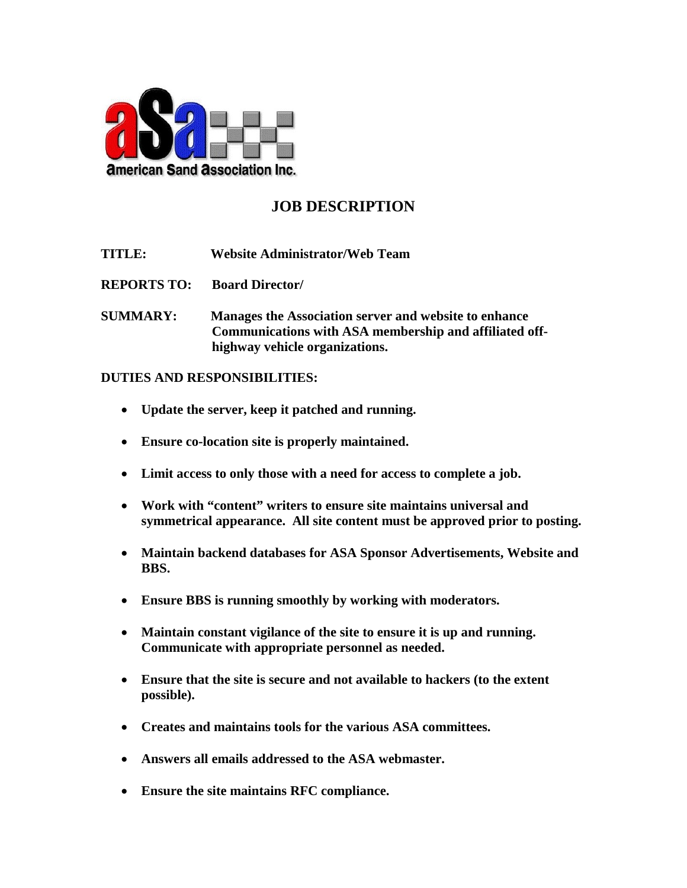

## **JOB DESCRIPTION**

**TITLE: Website Administrator/Web Team**

**REPORTS TO: Board Director/**

**SUMMARY: Manages the Association server and website to enhance Communications with ASA membership and affiliated offhighway vehicle organizations.**

## **DUTIES AND RESPONSIBILITIES:**

- **Update the server, keep it patched and running.**
- **Ensure co-location site is properly maintained.**
- **Limit access to only those with a need for access to complete a job.**
- **Work with "content" writers to ensure site maintains universal and symmetrical appearance. All site content must be approved prior to posting.**
- **Maintain backend databases for ASA Sponsor Advertisements, Website and BBS.**
- **Ensure BBS is running smoothly by working with moderators.**
- **Maintain constant vigilance of the site to ensure it is up and running. Communicate with appropriate personnel as needed.**
- **Ensure that the site is secure and not available to hackers (to the extent possible).**
- **Creates and maintains tools for the various ASA committees.**
- **Answers all emails addressed to the ASA webmaster.**
- **Ensure the site maintains RFC compliance.**